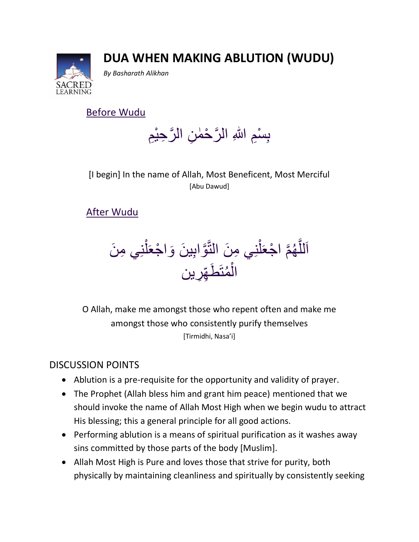## **DUA WHEN MAKING ABLUTION (WUDU)**



*By Basharath Alikhan*

Before Wudu

بِسْمِ اللهِ الرَّحْمٰنِ الرَّحِيْمِ ا<br>ا

[I begin] In the name of Allah, Most Beneficent, Most Merciful [Abu Dawud]

## After Wudu

اَللَّهُمَّ اجْعَلْنِي مِنَ النَّوَّابِينَ وَاجْعَلْنِي مِنَ تە<br>ك ¤<br>أ **ال** نَّة<br>أم ر<br><del>)</del> َّ **ٔ** الْمُتَط<u>َّهِّرِين</u> و<br>م ْ

O Allah, make me amongst those who repent often and make me amongst those who consistently purify themselves [Tirmidhi, Nasa'i]

## DISCUSSION POINTS

- Ablution is a pre-requisite for the opportunity and validity of prayer.
- The Prophet (Allah bless him and grant him peace) mentioned that we should invoke the name of Allah Most High when we begin wudu to attract His blessing; this a general principle for all good actions.
- Performing ablution is a means of spiritual purification as it washes away sins committed by those parts of the body [Muslim].
- Allah Most High is Pure and loves those that strive for purity, both physically by maintaining cleanliness and spiritually by consistently seeking